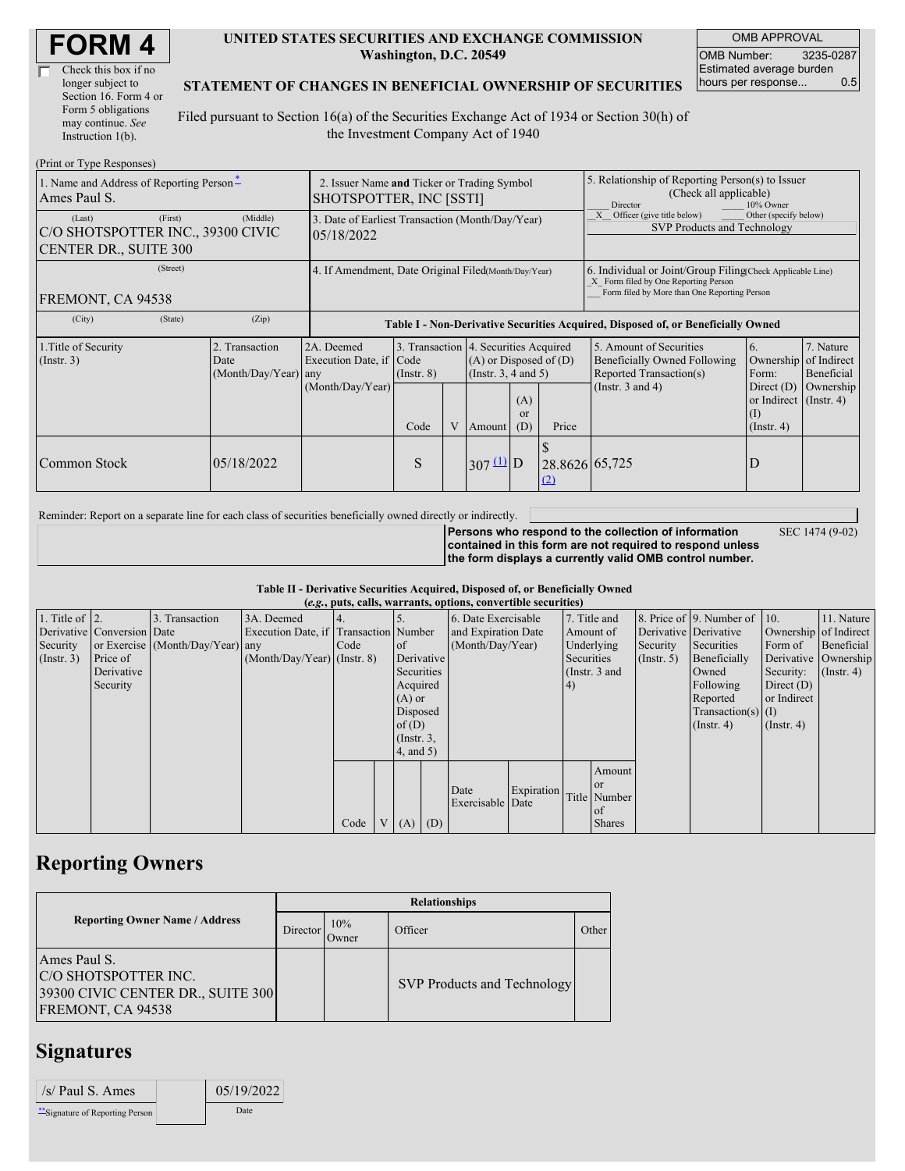| <b>FORM4</b> |
|--------------|
|--------------|

| Check this box if no  |
|-----------------------|
| longer subject to     |
| Section 16. Form 4 or |
| Form 5 obligations    |
| may continue. See     |
| Instruction 1(b).     |

#### **UNITED STATES SECURITIES AND EXCHANGE COMMISSION Washington, D.C. 20549**

OMB APPROVAL OMB Number: 3235-0287 Estimated average burden hours per response... 0.5

### **STATEMENT OF CHANGES IN BENEFICIAL OWNERSHIP OF SECURITIES**

Filed pursuant to Section 16(a) of the Securities Exchange Act of 1934 or Section 30(h) of the Investment Company Act of 1940

| (Print or Type Responses)                                                              |                                                                        |                                                                                  |                                      |  |                       |                                                                                                                                              |                                                                                                                                                    |                                                                                                             |                                                                                              |                                                     |
|----------------------------------------------------------------------------------------|------------------------------------------------------------------------|----------------------------------------------------------------------------------|--------------------------------------|--|-----------------------|----------------------------------------------------------------------------------------------------------------------------------------------|----------------------------------------------------------------------------------------------------------------------------------------------------|-------------------------------------------------------------------------------------------------------------|----------------------------------------------------------------------------------------------|-----------------------------------------------------|
| 1. Name and Address of Reporting Person-<br>Ames Paul S.                               | 2. Issuer Name and Ticker or Trading Symbol<br>SHOTSPOTTER, INC [SSTI] |                                                                                  |                                      |  |                       |                                                                                                                                              | 5. Relationship of Reporting Person(s) to Issuer<br>(Check all applicable)<br>10% Owner<br>Director                                                |                                                                                                             |                                                                                              |                                                     |
| (First)<br>(Last)<br>C/O SHOTSPOTTER INC., 39300 CIVIC<br><b>CENTER DR., SUITE 300</b> | 3. Date of Earliest Transaction (Month/Day/Year)<br>05/18/2022         |                                                                                  |                                      |  |                       |                                                                                                                                              | Other (specify below)<br>Officer (give title below)<br>SVP Products and Technology                                                                 |                                                                                                             |                                                                                              |                                                     |
| (Street)<br>FREMONT, CA 94538                                                          | 4. If Amendment, Date Original Filed(Month/Day/Year)                   |                                                                                  |                                      |  |                       |                                                                                                                                              | 6. Individual or Joint/Group Filing Check Applicable Line)<br>X Form filed by One Reporting Person<br>Form filed by More than One Reporting Person |                                                                                                             |                                                                                              |                                                     |
| (City)<br>(State)                                                                      | (Zip)                                                                  | Table I - Non-Derivative Securities Acquired, Disposed of, or Beneficially Owned |                                      |  |                       |                                                                                                                                              |                                                                                                                                                    |                                                                                                             |                                                                                              |                                                     |
| 1. Title of Security<br>(Insert. 3)                                                    | 2. Transaction<br>Date<br>(Month/Day/Year) any                         | 2A. Deemed<br>Execution Date, if<br>(Month/Day/Year)                             | Code<br>$($ Instr. $8)$<br>Code<br>V |  |                       | 3. Transaction 4. Securities Acquired<br>$(A)$ or Disposed of $(D)$<br>(Instr. 3, 4 and 5)<br>(A)<br><sub>or</sub><br>Price<br>(D)<br>Amount |                                                                                                                                                    | 5. Amount of Securities<br>Beneficially Owned Following<br>Reported Transaction(s)<br>(Instr. $3$ and $4$ ) | 6.<br>Ownership<br>Form:<br>Direct $(D)$<br>or Indirect $($ Instr. 4 $)$<br>$($ Instr. 4 $)$ | 7. Nature<br>of Indirect<br>Beneficial<br>Ownership |
| Common Stock                                                                           | 05/18/2022                                                             |                                                                                  | S                                    |  | $307 \underline{u}$ D |                                                                                                                                              | 28.8626 65,725<br>(2)                                                                                                                              |                                                                                                             | D                                                                                            |                                                     |

Reminder: Report on a separate line for each class of securities beneficially owned directly or indirectly.

**Persons who respond to the collection of information contained in this form are not required to respond unless the form displays a currently valid OMB control number.** SEC 1474 (9-02)

#### **Table II - Derivative Securities Acquired, Disposed of, or Beneficially Owned (***e.g.***, puts, calls, warrants, options, convertible securities)**

| $(0.5, 0.005, 0.005, 0.0005, 0.00005, 0.0000, 0.0000, 0.0000, 0.0000, 0.0000, 0.0000, 0.0000, 0.0000, 0.0000, 0.0000, 0.0000, 0.0000, 0.0000, 0.0000, 0.0000, 0.0000, 0.0000, 0.0000, 0.0000, 0.0000, 0.0000, 0.0000, 0.0000,$ |                            |                                  |                                       |      |  |                 |  |                     |            |            |                       |             |                              |                  |                      |
|--------------------------------------------------------------------------------------------------------------------------------------------------------------------------------------------------------------------------------|----------------------------|----------------------------------|---------------------------------------|------|--|-----------------|--|---------------------|------------|------------|-----------------------|-------------|------------------------------|------------------|----------------------|
| 1. Title of $\vert$ 2.                                                                                                                                                                                                         |                            | 3. Transaction                   | 3A. Deemed                            |      |  |                 |  | 6. Date Exercisable |            |            | 7. Title and          |             | 8. Price of 9. Number of 10. |                  | 11. Nature           |
|                                                                                                                                                                                                                                | Derivative Conversion Date |                                  | Execution Date, if Transaction Number |      |  |                 |  | and Expiration Date |            | Amount of  | Derivative Derivative |             | Ownership of Indirect        |                  |                      |
| Security                                                                                                                                                                                                                       |                            | or Exercise (Month/Day/Year) any |                                       | Code |  | <sub>of</sub>   |  | (Month/Day/Year)    |            | Underlying | Security              | Securities  | Form of                      | Beneficial       |                      |
| (Insert. 3)                                                                                                                                                                                                                    | Price of                   |                                  | $(Month/Day/Year)$ (Instr. 8)         |      |  | Derivative      |  |                     |            | Securities |                       | (Insert, 5) | Beneficially                 |                  | Derivative Ownership |
|                                                                                                                                                                                                                                | Derivative                 |                                  |                                       |      |  | Securities      |  |                     |            |            | (Instr. 3 and         |             | Owned                        | Security:        | $($ Instr. 4)        |
|                                                                                                                                                                                                                                | Security                   |                                  |                                       |      |  | Acquired        |  |                     |            | 4)         |                       |             | Following                    | Direct $(D)$     |                      |
|                                                                                                                                                                                                                                |                            |                                  |                                       |      |  | $(A)$ or        |  |                     |            |            |                       |             | Reported                     | or Indirect      |                      |
|                                                                                                                                                                                                                                |                            |                                  |                                       |      |  | Disposed        |  |                     |            |            |                       |             | $Transaction(s)$ (I)         |                  |                      |
|                                                                                                                                                                                                                                |                            |                                  |                                       |      |  | of $(D)$        |  |                     |            |            |                       |             | $($ Instr. 4 $)$             | $($ Instr. 4 $)$ |                      |
|                                                                                                                                                                                                                                |                            |                                  |                                       |      |  | $($ Instr. $3,$ |  |                     |            |            |                       |             |                              |                  |                      |
|                                                                                                                                                                                                                                |                            |                                  |                                       |      |  | $4$ , and 5)    |  |                     |            |            |                       |             |                              |                  |                      |
|                                                                                                                                                                                                                                |                            |                                  |                                       |      |  |                 |  |                     |            |            | Amount                |             |                              |                  |                      |
|                                                                                                                                                                                                                                |                            |                                  |                                       |      |  |                 |  | Date                | Expiration |            | or or                 |             |                              |                  |                      |
|                                                                                                                                                                                                                                |                            |                                  |                                       |      |  |                 |  | Exercisable Date    |            |            | Title Number          |             |                              |                  |                      |
|                                                                                                                                                                                                                                |                            |                                  |                                       |      |  |                 |  |                     |            |            | of                    |             |                              |                  |                      |
|                                                                                                                                                                                                                                |                            |                                  |                                       | Code |  | V   (A)   (D)   |  |                     |            |            | <b>Shares</b>         |             |                              |                  |                      |

## **Reporting Owners**

|                                                                                                | <b>Relationships</b> |              |                                    |       |  |  |  |  |
|------------------------------------------------------------------------------------------------|----------------------|--------------|------------------------------------|-------|--|--|--|--|
| <b>Reporting Owner Name / Address</b>                                                          | Director             | 10%<br>Jwner | Officer                            | Other |  |  |  |  |
| Ames Paul S.<br>C/O SHOTSPOTTER INC.<br>39300 CIVIC CENTER DR., SUITE 300<br>FREMONT, CA 94538 |                      |              | <b>SVP Products and Technology</b> |       |  |  |  |  |

## **Signatures**

| $/s/$ Paul S. Ames               | 05/19/2022 |
|----------------------------------|------------|
| ** Signature of Reporting Person | Date       |